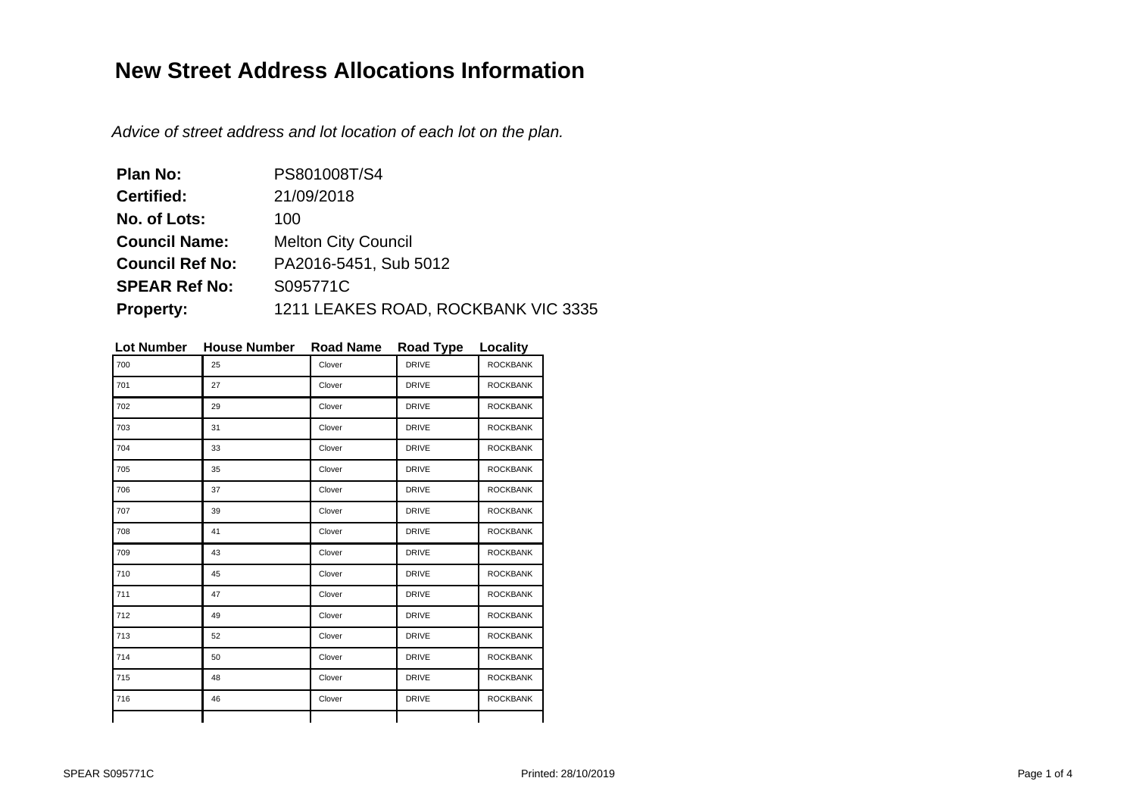## **New Street Address Allocations Information**

Advice of street address and lot location of each lot on the plan.

| <b>Plan No:</b>        | PS801008T/S4                        |
|------------------------|-------------------------------------|
| <b>Certified:</b>      | 21/09/2018                          |
| No. of Lots:           | 100                                 |
| <b>Council Name:</b>   | <b>Melton City Council</b>          |
| <b>Council Ref No:</b> | PA2016-5451, Sub 5012               |
| <b>SPEAR Ref No:</b>   | S095771C                            |
| <b>Property:</b>       | 1211 LEAKES ROAD, ROCKBANK VIC 3335 |

| <b>Lot Number</b> | <b>House Number</b> | <b>Road Name</b> | <b>Road Type</b> | Locality        |
|-------------------|---------------------|------------------|------------------|-----------------|
| 700               | 25                  | Clover           | <b>DRIVE</b>     | <b>ROCKBANK</b> |
| 701               | 27                  | Clover           | <b>DRIVE</b>     | <b>ROCKBANK</b> |
| 702               | 29                  | Clover           | <b>DRIVE</b>     | <b>ROCKBANK</b> |
| 703               | 31                  | Clover           | <b>DRIVE</b>     | <b>ROCKBANK</b> |
| 704               | 33                  | Clover           | <b>DRIVE</b>     | <b>ROCKBANK</b> |
| 705               | 35                  | Clover           | <b>DRIVE</b>     | <b>ROCKBANK</b> |
| 706               | 37                  | Clover           | <b>DRIVE</b>     | <b>ROCKBANK</b> |
| 707               | 39                  | Clover           | <b>DRIVE</b>     | <b>ROCKBANK</b> |
| 708               | 41                  | Clover           | <b>DRIVE</b>     | <b>ROCKBANK</b> |
| 709               | 43                  | Clover           | <b>DRIVE</b>     | <b>ROCKBANK</b> |
| 710               | 45                  | Clover           | <b>DRIVE</b>     | <b>ROCKBANK</b> |
| 711               | 47                  | Clover           | <b>DRIVE</b>     | <b>ROCKBANK</b> |
| 712               | 49                  | Clover           | <b>DRIVE</b>     | <b>ROCKBANK</b> |
| 713               | 52                  | Clover           | <b>DRIVE</b>     | <b>ROCKBANK</b> |
| 714               | 50                  | Clover           | <b>DRIVE</b>     | <b>ROCKBANK</b> |
| 715               | 48                  | Clover           | <b>DRIVE</b>     | <b>ROCKBANK</b> |
| 716               | 46                  | Clover           | <b>DRIVE</b>     | <b>ROCKBANK</b> |
|                   |                     |                  |                  |                 |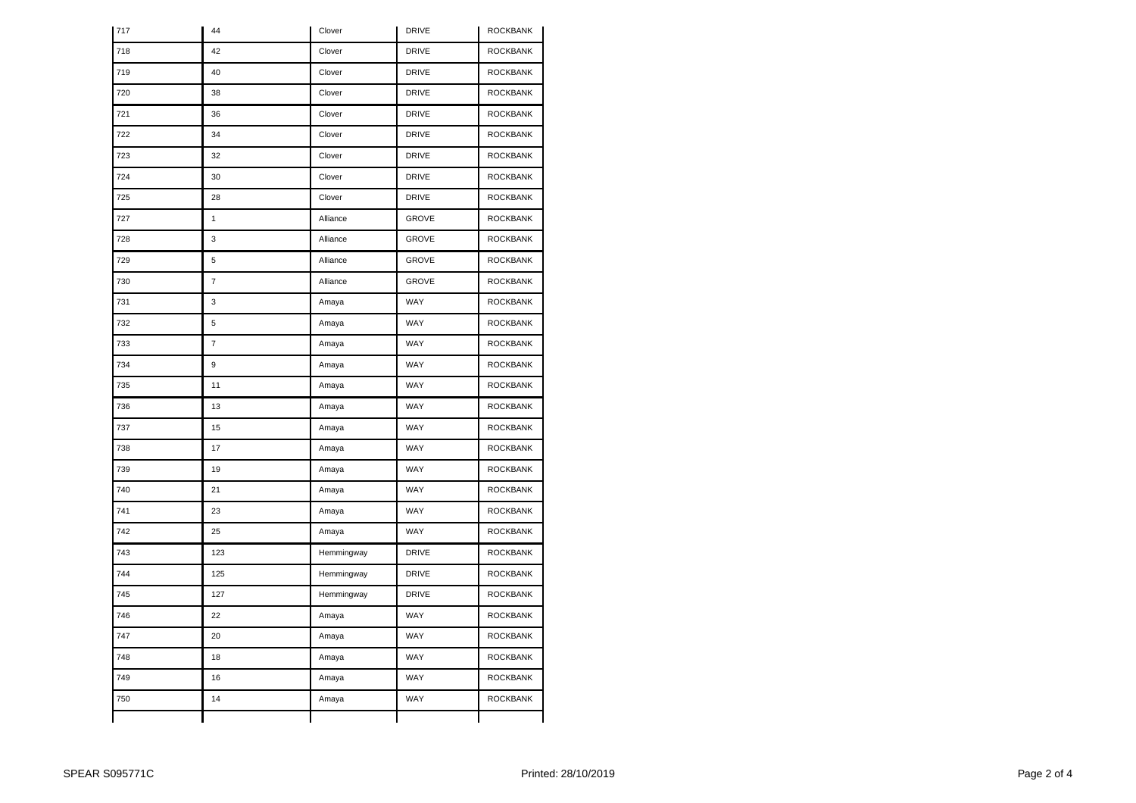| 717 | 44             | Clover     | <b>DRIVE</b> | <b>ROCKBANK</b> |
|-----|----------------|------------|--------------|-----------------|
| 718 | 42             | Clover     | <b>DRIVE</b> | <b>ROCKBANK</b> |
| 719 | 40             | Clover     | <b>DRIVE</b> | <b>ROCKBANK</b> |
| 720 | 38             | Clover     | <b>DRIVE</b> | <b>ROCKBANK</b> |
| 721 | 36             | Clover     | <b>DRIVE</b> | <b>ROCKBANK</b> |
| 722 | 34             | Clover     | <b>DRIVE</b> | <b>ROCKBANK</b> |
| 723 | 32             | Clover     | <b>DRIVE</b> | <b>ROCKBANK</b> |
| 724 | 30             | Clover     | <b>DRIVE</b> | <b>ROCKBANK</b> |
| 725 | 28             | Clover     | <b>DRIVE</b> | <b>ROCKBANK</b> |
| 727 | $\mathbf{1}$   | Alliance   | <b>GROVE</b> | <b>ROCKBANK</b> |
| 728 | 3              | Alliance   | <b>GROVE</b> | <b>ROCKBANK</b> |
| 729 | 5              | Alliance   | <b>GROVE</b> | <b>ROCKBANK</b> |
| 730 | $\overline{7}$ | Alliance   | <b>GROVE</b> | <b>ROCKBANK</b> |
| 731 | 3              | Amaya      | WAY          | <b>ROCKBANK</b> |
| 732 | 5              | Amaya      | WAY          | <b>ROCKBANK</b> |
| 733 | $\overline{7}$ | Amaya      | WAY          | <b>ROCKBANK</b> |
| 734 | 9              | Amaya      | WAY          | <b>ROCKBANK</b> |
| 735 | 11             | Amaya      | WAY          | <b>ROCKBANK</b> |
| 736 | 13             | Amaya      | WAY          | <b>ROCKBANK</b> |
| 737 | 15             | Amaya      | WAY          | <b>ROCKBANK</b> |
| 738 | 17             | Amaya      | WAY          | <b>ROCKBANK</b> |
| 739 | 19             | Amaya      | WAY          | <b>ROCKBANK</b> |
| 740 | 21             | Amaya      | WAY          | <b>ROCKBANK</b> |
| 741 | 23             | Amaya      | WAY          | <b>ROCKBANK</b> |
| 742 | 25             | Amaya      | WAY          | <b>ROCKBANK</b> |
| 743 | 123            | Hemmingway | <b>DRIVE</b> | <b>ROCKBANK</b> |
| 744 | 125            | Hemmingway | <b>DRIVE</b> | <b>ROCKBANK</b> |
| 745 | 127            | Hemmingway | <b>DRIVE</b> | <b>ROCKBANK</b> |
| 746 | 22             | Amaya      | WAY          | <b>ROCKBANK</b> |
| 747 | 20             | Amaya      | WAY          | <b>ROCKBANK</b> |
| 748 | 18             | Amaya      | WAY          | <b>ROCKBANK</b> |
| 749 | 16             | Amaya      | WAY          | <b>ROCKBANK</b> |
| 750 | 14             | Amaya      | WAY          | <b>ROCKBANK</b> |
|     |                |            |              |                 |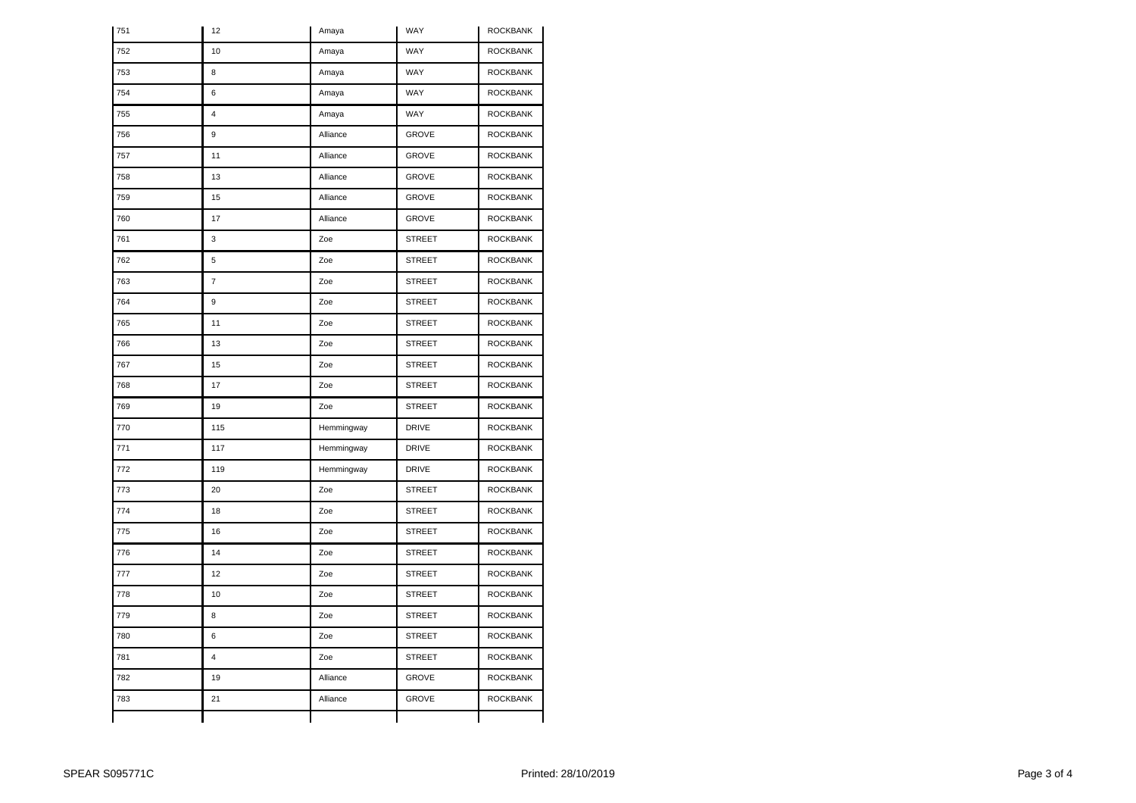| 751 | 12                      | Amaya      | WAY           | <b>ROCKBANK</b> |
|-----|-------------------------|------------|---------------|-----------------|
| 752 | 10                      | Amaya      | WAY           | <b>ROCKBANK</b> |
| 753 | 8                       | Amaya      | WAY           | <b>ROCKBANK</b> |
| 754 | 6                       | Amaya      | WAY           | <b>ROCKBANK</b> |
| 755 | $\overline{\mathbf{4}}$ | Amaya      | WAY           | <b>ROCKBANK</b> |
| 756 | 9                       | Alliance   | <b>GROVE</b>  | <b>ROCKBANK</b> |
| 757 | 11                      | Alliance   | <b>GROVE</b>  | <b>ROCKBANK</b> |
| 758 | 13                      | Alliance   | <b>GROVE</b>  | <b>ROCKBANK</b> |
| 759 | 15                      | Alliance   | <b>GROVE</b>  | <b>ROCKBANK</b> |
| 760 | 17                      | Alliance   | <b>GROVE</b>  | <b>ROCKBANK</b> |
| 761 | 3                       | Zoe        | <b>STREET</b> | <b>ROCKBANK</b> |
| 762 | 5                       | Zoe        | <b>STREET</b> | <b>ROCKBANK</b> |
| 763 | $\overline{7}$          | Zoe        | <b>STREET</b> | <b>ROCKBANK</b> |
| 764 | 9                       | Zoe        | <b>STREET</b> | <b>ROCKBANK</b> |
| 765 | 11                      | Zoe        | <b>STREET</b> | <b>ROCKBANK</b> |
| 766 | 13                      | Zoe        | <b>STREET</b> | <b>ROCKBANK</b> |
| 767 | 15                      | Zoe        | <b>STREET</b> | <b>ROCKBANK</b> |
| 768 | 17                      | Zoe        | <b>STREET</b> | <b>ROCKBANK</b> |
| 769 | 19                      | Zoe        | <b>STREET</b> | <b>ROCKBANK</b> |
| 770 | 115                     | Hemmingway | <b>DRIVE</b>  | <b>ROCKBANK</b> |
| 771 | 117                     | Hemmingway | <b>DRIVE</b>  | <b>ROCKBANK</b> |
| 772 | 119                     | Hemmingway | <b>DRIVE</b>  | <b>ROCKBANK</b> |
| 773 | 20                      | Zoe        | <b>STREET</b> | <b>ROCKBANK</b> |
| 774 | 18                      | Zoe        | <b>STREET</b> | <b>ROCKBANK</b> |
| 775 | 16                      | Zoe        | <b>STREET</b> | <b>ROCKBANK</b> |
| 776 | 14                      | Zoe        | <b>STREET</b> | <b>ROCKBANK</b> |
| 777 | 12                      | Zoe        | <b>STREET</b> | <b>ROCKBANK</b> |
| 778 | 10                      | Zoe        | <b>STREET</b> | <b>ROCKBANK</b> |
| 779 | 8                       | Zoe        | <b>STREET</b> | <b>ROCKBANK</b> |
| 780 | 6                       | Zoe        | <b>STREET</b> | <b>ROCKBANK</b> |
| 781 | $\overline{4}$          | Zoe        | <b>STREET</b> | ROCKBANK        |
| 782 | 19                      | Alliance   | <b>GROVE</b>  | <b>ROCKBANK</b> |
| 783 | 21                      | Alliance   | <b>GROVE</b>  | <b>ROCKBANK</b> |
|     |                         |            |               |                 |